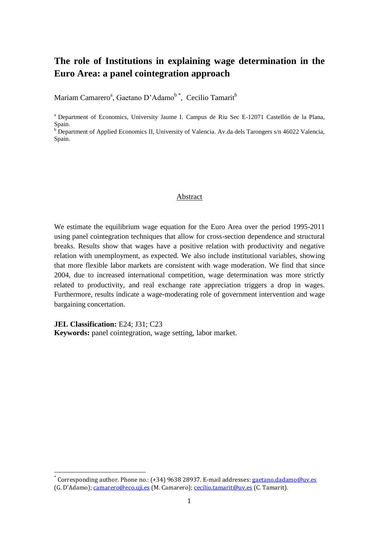# **The role of Institutions in explaining wage determination in the Euro Area: a panel cointegration approach**

Mariam Camarero<sup>a</sup>, Gaetano D'Adamo<sup>b\*</sup>, Cecilio Tamarit<sup>b</sup>

<sup>a</sup> Department of Economics, University Jaume I. Campus de Riu Sec E-12071 Castellón de la Plana, Spain.

b Department of Applied Economics II, University of Valencia. Av.da dels Tarongers s/n 46022 Valencia, Spain.

#### Abstract

We estimate the equilibrium wage equation for the Euro Area over the period 1995-2011 using panel cointegration techniques that allow for cross-section dependence and structural breaks. Results show that wages have a positive relation with productivity and negative relation with unemployment, as expected. We also include institutional variables, showing that more flexible labor markets are consistent with wage moderation. We find that since 2004, due to increased international competition, wage determination was more strictly related to productivity, and real exchange rate appreciation triggers a drop in wages. Furthermore, results indicate a wage-moderating role of government intervention and wage bargaining concertation.

**JEL Classification:** E24; J31; C23

 $\overline{\phantom{a}}$ 

**Keywords:** panel cointegration, wage setting, labor market.

<sup>\*</sup> Corresponding author. Phone no.: (+34) 9638 28937. E-mail addresses[: gaetano.dadamo@uv.es](mailto:gaetano.dadamo@uv.es) (G. D'Adamo); [camarero@eco.uji.es](mailto:camarero@eco.uji.es) (M. Camarero); [cecilio.tamarit@uv.es](mailto:cecilio.tamarit@uv.es) (C. Tamarit).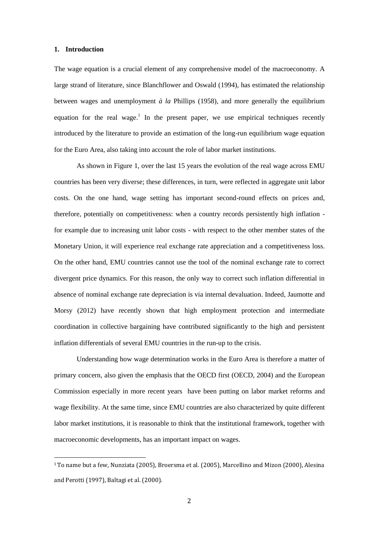### **1. Introduction**

1

The wage equation is a crucial element of any comprehensive model of the macroeconomy. A large strand of literature, since Blanchflower and Oswald (1994), has estimated the relationship between wages and unemployment *à la* Phillips (1958), and more generally the equilibrium equation for the real wage.<sup>1</sup> In the present paper, we use empirical techniques recently introduced by the literature to provide an estimation of the long-run equilibrium wage equation for the Euro Area, also taking into account the role of labor market institutions.

As shown in Figure 1, over the last 15 years the evolution of the real wage across EMU countries has been very diverse; these differences, in turn, were reflected in aggregate unit labor costs. On the one hand, wage setting has important second-round effects on prices and, therefore, potentially on competitiveness: when a country records persistently high inflation for example due to increasing unit labor costs - with respect to the other member states of the Monetary Union, it will experience real exchange rate appreciation and a competitiveness loss. On the other hand, EMU countries cannot use the tool of the nominal exchange rate to correct divergent price dynamics. For this reason, the only way to correct such inflation differential in absence of nominal exchange rate depreciation is via internal devaluation. Indeed, Jaumotte and Morsy (2012) have recently shown that high employment protection and intermediate coordination in collective bargaining have contributed significantly to the high and persistent inflation differentials of several EMU countries in the run-up to the crisis.

Understanding how wage determination works in the Euro Area is therefore a matter of primary concern, also given the emphasis that the OECD first (OECD, 2004) and the European Commission especially in more recent years have been putting on labor market reforms and wage flexibility. At the same time, since EMU countries are also characterized by quite different labor market institutions, it is reasonable to think that the institutional framework, together with macroeconomic developments, has an important impact on wages.

<sup>1</sup> To name but a few, Nunziata (2005), Broersma et al. (2005), Marcellino and Mizon (2000), Alesina and Perotti (1997), Baltagi et al. (2000).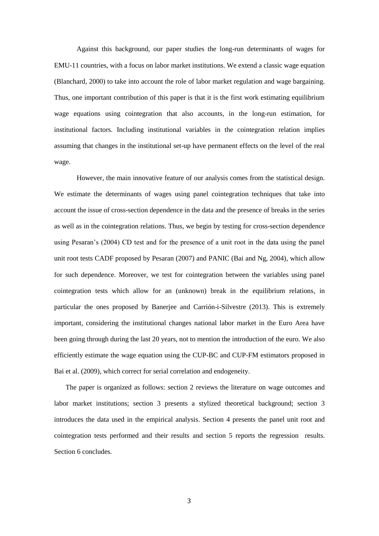Against this background, our paper studies the long-run determinants of wages for EMU-11 countries, with a focus on labor market institutions. We extend a classic wage equation (Blanchard, 2000) to take into account the role of labor market regulation and wage bargaining. Thus, one important contribution of this paper is that it is the first work estimating equilibrium wage equations using cointegration that also accounts, in the long-run estimation, for institutional factors. Including institutional variables in the cointegration relation implies assuming that changes in the institutional set-up have permanent effects on the level of the real wage.

However, the main innovative feature of our analysis comes from the statistical design. We estimate the determinants of wages using panel cointegration techniques that take into account the issue of cross-section dependence in the data and the presence of breaks in the series as well as in the cointegration relations. Thus, we begin by testing for cross-section dependence using Pesaran's (2004) CD test and for the presence of a unit root in the data using the panel unit root tests CADF proposed by Pesaran (2007) and PANIC (Bai and Ng, 2004), which allow for such dependence. Moreover, we test for cointegration between the variables using panel cointegration tests which allow for an (unknown) break in the equilibrium relations, in particular the ones proposed by Banerjee and Carrión-i-Silvestre (2013). This is extremely important, considering the institutional changes national labor market in the Euro Area have been going through during the last 20 years, not to mention the introduction of the euro. We also efficiently estimate the wage equation using the CUP-BC and CUP-FM estimators proposed in Bai et al. (2009), which correct for serial correlation and endogeneity.

The paper is organized as follows: section 2 reviews the literature on wage outcomes and labor market institutions; section 3 presents a stylized theoretical background; section 3 introduces the data used in the empirical analysis. Section 4 presents the panel unit root and cointegration tests performed and their results and section 5 reports the regression results. Section 6 concludes.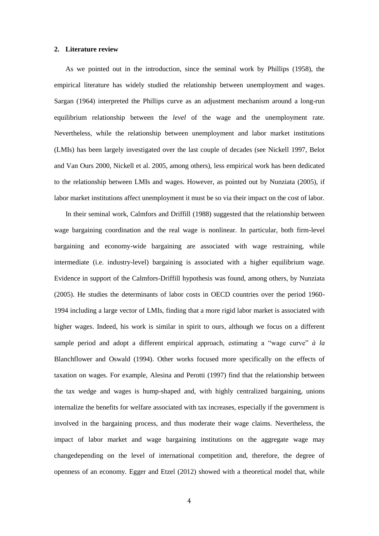### **2. Literature review**

As we pointed out in the introduction, since the seminal work by Phillips (1958), the empirical literature has widely studied the relationship between unemployment and wages. Sargan (1964) interpreted the Phillips curve as an adjustment mechanism around a long-run equilibrium relationship between the *level* of the wage and the unemployment rate. Nevertheless, while the relationship between unemployment and labor market institutions (LMIs) has been largely investigated over the last couple of decades (see Nickell 1997, Belot and Van Ours 2000, Nickell et al. 2005, among others), less empirical work has been dedicated to the relationship between LMIs and wages. However, as pointed out by Nunziata (2005), if labor market institutions affect unemployment it must be so via their impact on the cost of labor.

In their seminal work, Calmfors and Driffill (1988) suggested that the relationship between wage bargaining coordination and the real wage is nonlinear. In particular, both firm-level bargaining and economy-wide bargaining are associated with wage restraining, while intermediate (i.e. industry-level) bargaining is associated with a higher equilibrium wage. Evidence in support of the Calmfors-Driffill hypothesis was found, among others, by Nunziata (2005). He studies the determinants of labor costs in OECD countries over the period 1960- 1994 including a large vector of LMIs, finding that a more rigid labor market is associated with higher wages. Indeed, his work is similar in spirit to ours, although we focus on a different sample period and adopt a different empirical approach, estimating a "wage curve" *à la* Blanchflower and Oswald (1994). Other works focused more specifically on the effects of taxation on wages. For example, Alesina and Perotti (1997) find that the relationship between the tax wedge and wages is hump-shaped and, with highly centralized bargaining, unions internalize the benefits for welfare associated with tax increases, especially if the government is involved in the bargaining process, and thus moderate their wage claims. Nevertheless, the impact of labor market and wage bargaining institutions on the aggregate wage may changedepending on the level of international competition and, therefore, the degree of openness of an economy. Egger and Etzel (2012) showed with a theoretical model that, while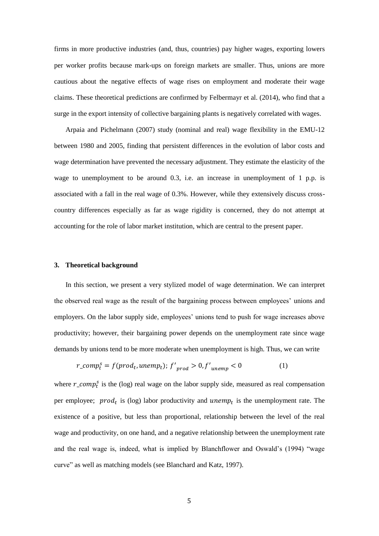firms in more productive industries (and, thus, countries) pay higher wages, exporting lowers per worker profits because mark-ups on foreign markets are smaller. Thus, unions are more cautious about the negative effects of wage rises on employment and moderate their wage claims. These theoretical predictions are confirmed by Felbermayr et al. (2014), who find that a surge in the export intensity of collective bargaining plants is negatively correlated with wages.

Arpaia and Pichelmann (2007) study (nominal and real) wage flexibility in the EMU-12 between 1980 and 2005, finding that persistent differences in the evolution of labor costs and wage determination have prevented the necessary adjustment. They estimate the elasticity of the wage to unemployment to be around 0.3, i.e. an increase in unemployment of 1 p.p. is associated with a fall in the real wage of 0.3%. However, while they extensively discuss crosscountry differences especially as far as wage rigidity is concerned, they do not attempt at accounting for the role of labor market institution, which are central to the present paper.

#### **3. Theoretical background**

In this section, we present a very stylized model of wage determination. We can interpret the observed real wage as the result of the bargaining process between employees' unions and employers. On the labor supply side, employees' unions tend to push for wage increases above productivity; however, their bargaining power depends on the unemployment rate since wage demands by unions tend to be more moderate when unemployment is high. Thus, we can write

$$
r\_comp_t^s = f(pred_t, unemp_t); f'_{prod} > 0, f'_{unemp} < 0
$$
 (1)

where  $r\_comp_t^s$  is the (log) real wage on the labor supply side, measured as real compensation per employee;  $prod_t$  is (log) labor productivity and unemp<sub>t</sub> is the unemployment rate. The existence of a positive, but less than proportional, relationship between the level of the real wage and productivity, on one hand, and a negative relationship between the unemployment rate and the real wage is, indeed, what is implied by Blanchflower and Oswald's (1994) "wage curve" as well as matching models (see Blanchard and Katz, 1997).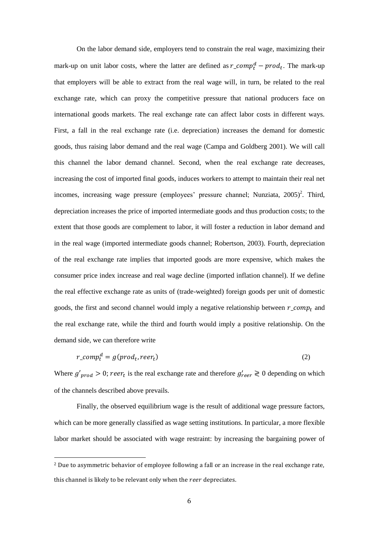On the labor demand side, employers tend to constrain the real wage, maximizing their mark-up on unit labor costs, where the latter are defined as  $r\_comp_t^d - prod_t$ . The mark-up that employers will be able to extract from the real wage will, in turn, be related to the real exchange rate, which can proxy the competitive pressure that national producers face on international goods markets. The real exchange rate can affect labor costs in different ways. First, a fall in the real exchange rate (i.e. depreciation) increases the demand for domestic goods, thus raising labor demand and the real wage (Campa and Goldberg 2001). We will call this channel the labor demand channel. Second, when the real exchange rate decreases, increasing the cost of imported final goods, induces workers to attempt to maintain their real net incomes, increasing wage pressure (employees' pressure channel; Nunziata,  $2005$ )<sup>2</sup>. Third, depreciation increases the price of imported intermediate goods and thus production costs; to the extent that those goods are complement to labor, it will foster a reduction in labor demand and in the real wage (imported intermediate goods channel; Robertson, 2003). Fourth, depreciation of the real exchange rate implies that imported goods are more expensive, which makes the consumer price index increase and real wage decline (imported inflation channel). If we define the real effective exchange rate as units of (trade-weighted) foreign goods per unit of domestic goods, the first and second channel would imply a negative relationship between  $r\_{comp_t}$  and the real exchange rate, while the third and fourth would imply a positive relationship. On the demand side, we can therefore write

$$
r\_comp_t^d = g(pred_t, reer_t)
$$
\n<sup>(2)</sup>

Where  $g'_{\text{prod}} > 0$ ; reer<sub>t</sub> is the real exchange rate and therefore  $g'_{\text{reer}} \ge 0$  depending on which of the channels described above prevails.

Finally, the observed equilibrium wage is the result of additional wage pressure factors, which can be more generally classified as wage setting institutions. In particular, a more flexible labor market should be associated with wage restraint: by increasing the bargaining power of

1

<sup>&</sup>lt;sup>2</sup> Due to asymmetric behavior of employee following a fall or an increase in the real exchange rate, this channel is likely to be relevant only when the reer depreciates.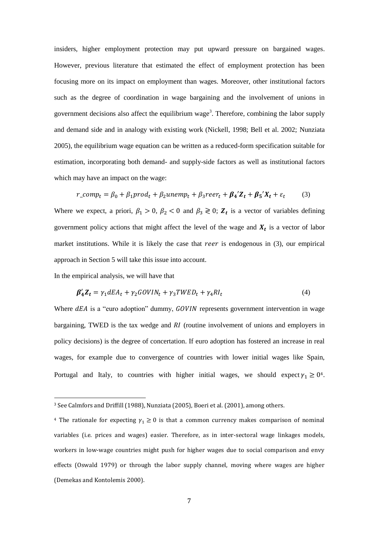insiders, higher employment protection may put upward pressure on bargained wages. However, previous literature that estimated the effect of employment protection has been focusing more on its impact on employment than wages. Moreover, other institutional factors such as the degree of coordination in wage bargaining and the involvement of unions in government decisions also affect the equilibrium wage<sup>3</sup>. Therefore, combining the labor supply and demand side and in analogy with existing work (Nickell, 1998; Bell et al. 2002; Nunziata 2005), the equilibrium wage equation can be written as a reduced-form specification suitable for estimation, incorporating both demand- and supply-side factors as well as institutional factors which may have an impact on the wage:

$$
r\_comp_t = \beta_0 + \beta_1 prod_t + \beta_2 unemp_t + \beta_3 reer_t + \beta_4' Z_t + \beta_5' X_t + \varepsilon_t
$$
 (3)

Where we expect, a priori,  $\beta_1 > 0$ ,  $\beta_2 < 0$  and  $\beta_3 \ge 0$ ;  $\mathbb{Z}_t$  is a vector of variables defining government policy actions that might affect the level of the wage and  $X_t$  is a vector of labor market institutions. While it is likely the case that reer is endogenous in  $(3)$ , our empirical approach in Section 5 will take this issue into account.

In the empirical analysis, we will have that

**.** 

$$
\beta_4' Z_t = \gamma_1 dE A_t + \gamma_2 GOV I N_t + \gamma_3 TW E D_t + \gamma_4 R I_t \tag{4}
$$

Where  $dEA$  is a "euro adoption" dummy,  $GOVIN$  represents government intervention in wage bargaining, TWED is the tax wedge and  $RI$  (routine involvement of unions and employers in policy decisions) is the degree of concertation. If euro adoption has fostered an increase in real wages, for example due to convergence of countries with lower initial wages like Spain, Portugal and Italy, to countries with higher initial wages, we should expect  $\gamma_1 \geq 0$ <sup>4</sup>.

<sup>3</sup> See Calmfors and Driffill (1988), Nunziata (2005), Boeri et al. (2001), among others.

<sup>&</sup>lt;sup>4</sup> The rationale for expecting  $\gamma_1 \geq 0$  is that a common currency makes comparison of nominal variables (i.e. prices and wages) easier. Therefore, as in inter-sectoral wage linkages models, workers in low-wage countries might push for higher wages due to social comparison and envy effects (Oswald 1979) or through the labor supply channel, moving where wages are higher (Demekas and Kontolemis 2000).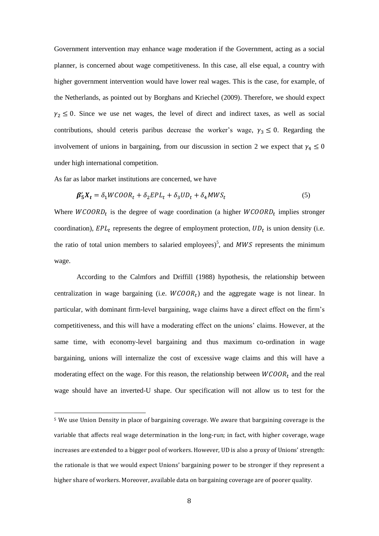Government intervention may enhance wage moderation if the Government, acting as a social planner, is concerned about wage competitiveness. In this case, all else equal, a country with higher government intervention would have lower real wages. This is the case, for example, of the Netherlands, as pointed out by Borghans and Kriechel (2009). Therefore, we should expect  $\gamma_2 \leq 0$ . Since we use net wages, the level of direct and indirect taxes, as well as social contributions, should ceteris paribus decrease the worker's wage,  $\gamma_3 \leq 0$ . Regarding the involvement of unions in bargaining, from our discussion in section 2 we expect that  $\gamma_4 \leq 0$ under high international competition.

As far as labor market institutions are concerned, we have

**.** 

$$
\beta_5' X_t = \delta_1 WCOOR_t + \delta_2 EPL_t + \delta_3 UD_t + \delta_4 MWS_t \tag{5}
$$

Where  $WCOORD_t$  is the degree of wage coordination (a higher  $WCOORD_t$  implies stronger coordination),  $EPL_t$  represents the degree of employment protection,  $UD_t$  is union density (i.e. the ratio of total union members to salaried employees)<sup>5</sup>, and  $MWS$  represents the minimum wage.

According to the Calmfors and Driffill (1988) hypothesis, the relationship between centralization in wage bargaining (i.e.  $WCOOR<sub>t</sub>$ ) and the aggregate wage is not linear. In particular, with dominant firm-level bargaining, wage claims have a direct effect on the firm's competitiveness, and this will have a moderating effect on the unions' claims. However, at the same time, with economy-level bargaining and thus maximum co-ordination in wage bargaining, unions will internalize the cost of excessive wage claims and this will have a moderating effect on the wage. For this reason, the relationship between  $WCOOR<sub>t</sub>$  and the real wage should have an inverted-U shape. Our specification will not allow us to test for the

<sup>5</sup> We use Union Density in place of bargaining coverage. We aware that bargaining coverage is the variable that affects real wage determination in the long-run; in fact, with higher coverage, wage increases are extended to a bigger pool of workers. However, UD is also a proxy of Unions' strength: the rationale is that we would expect Unions' bargaining power to be stronger if they represent a higher share of workers. Moreover, available data on bargaining coverage are of poorer quality.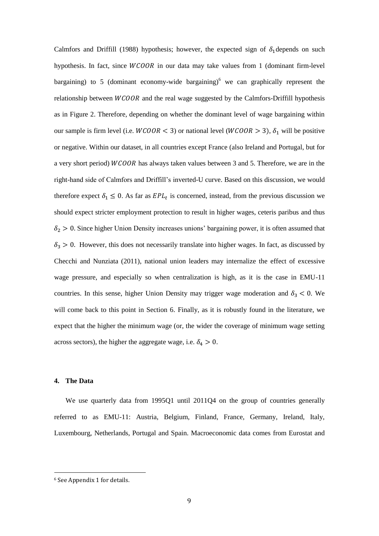Calmfors and Driffill (1988) hypothesis; however, the expected sign of  $\delta_1$  depends on such hypothesis. In fact, since WCOOR in our data may take values from 1 (dominant firm-level bargaining) to 5 (dominant economy-wide bargaining) $<sup>6</sup>$  we can graphically represent the</sup> relationship between  $WCOOR$  and the real wage suggested by the Calmfors-Driffill hypothesis as in Figure 2. Therefore, depending on whether the dominant level of wage bargaining within our sample is firm level (i.e.  $WCOOR < 3$ ) or national level ( $WCOOR > 3$ ),  $\delta_1$  will be positive or negative. Within our dataset, in all countries except France (also Ireland and Portugal, but for a very short period) WCOOR has always taken values between 3 and 5. Therefore, we are in the right-hand side of Calmfors and Driffill's inverted-U curve. Based on this discussion, we would therefore expect  $\delta_1 \leq 0$ . As far as  $EPL_t$  is concerned, instead, from the previous discussion we should expect stricter employment protection to result in higher wages, ceteris paribus and thus  $\delta_2 > 0$ . Since higher Union Density increases unions' bargaining power, it is often assumed that  $\delta_3 > 0$ . However, this does not necessarily translate into higher wages. In fact, as discussed by Checchi and Nunziata (2011), national union leaders may internalize the effect of excessive wage pressure, and especially so when centralization is high, as it is the case in EMU-11 countries. In this sense, higher Union Density may trigger wage moderation and  $\delta_3$  < 0. We will come back to this point in Section 6. Finally, as it is robustly found in the literature, we expect that the higher the minimum wage (or, the wider the coverage of minimum wage setting across sectors), the higher the aggregate wage, i.e.  $\delta_4 > 0$ .

## **4. The Data**

**.** 

We use quarterly data from 1995Q1 until 2011Q4 on the group of countries generally referred to as EMU-11: Austria, Belgium, Finland, France, Germany, Ireland, Italy, Luxembourg, Netherlands, Portugal and Spain. Macroeconomic data comes from Eurostat and

<sup>6</sup> See Appendix 1 for details.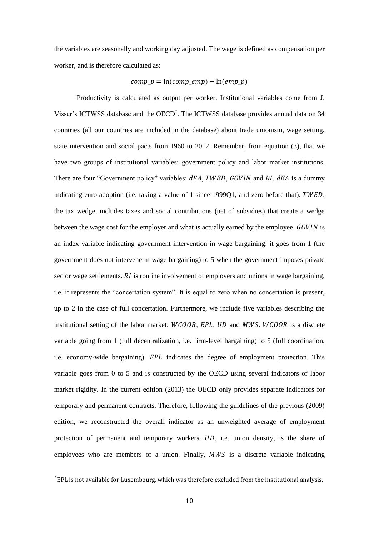the variables are seasonally and working day adjusted. The wage is defined as compensation per worker, and is therefore calculated as:

## $comp \, p = \ln (comp \, emp) - \ln (emp \, p)$

Productivity is calculated as output per worker. Institutional variables come from J. Visser's ICTWSS database and the OECD<sup>7</sup>. The ICTWSS database provides annual data on 34 countries (all our countries are included in the database) about trade unionism, wage setting, state intervention and social pacts from 1960 to 2012. Remember, from equation (3), that we have two groups of institutional variables: government policy and labor market institutions. There are four "Government policy" variables: dEA, TWED, GOVIN and RI. dEA is a dummy indicating euro adoption (i.e. taking a value of  $1$  since 1999Q1, and zero before that). TWED, the tax wedge, includes taxes and social contributions (net of subsidies) that create a wedge between the wage cost for the employer and what is actually earned by the employee.  $GOVIN$  is an index variable indicating government intervention in wage bargaining: it goes from 1 (the government does not intervene in wage bargaining) to 5 when the government imposes private sector wage settlements.  $RI$  is routine involvement of employers and unions in wage bargaining, i.e. it represents the "concertation system". It is equal to zero when no concertation is present, up to 2 in the case of full concertation. Furthermore, we include five variables describing the institutional setting of the labor market:  $WCOOR$ ,  $EPL$ ,  $UD$  and  $MWS$ .  $WCOOR$  is a discrete variable going from 1 (full decentralization, i.e. firm-level bargaining) to 5 (full coordination, i.e. economy-wide bargaining).  $EPL$  indicates the degree of employment protection. This variable goes from 0 to 5 and is constructed by the OECD using several indicators of labor market rigidity. In the current edition (2013) the OECD only provides separate indicators for temporary and permanent contracts. Therefore, following the guidelines of the previous (2009) edition, we reconstructed the overall indicator as an unweighted average of employment protection of permanent and temporary workers. UD, i.e. union density, is the share of employees who are members of a union. Finally,  $MWS$  is a discrete variable indicating

 $\overline{\phantom{a}}$ 

 $^7$  EPL is not available for Luxembourg, which was therefore excluded from the institutional analysis.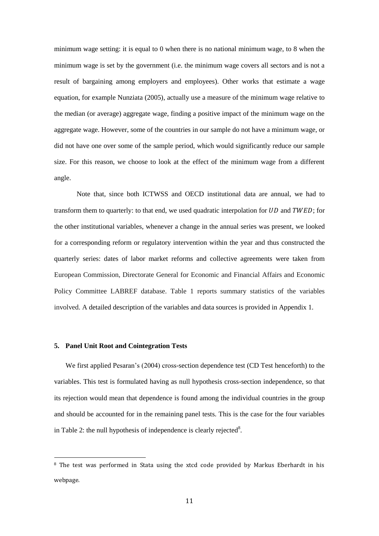minimum wage setting: it is equal to 0 when there is no national minimum wage, to 8 when the minimum wage is set by the government (i.e. the minimum wage covers all sectors and is not a result of bargaining among employers and employees). Other works that estimate a wage equation, for example Nunziata (2005), actually use a measure of the minimum wage relative to the median (or average) aggregate wage, finding a positive impact of the minimum wage on the aggregate wage. However, some of the countries in our sample do not have a minimum wage, or did not have one over some of the sample period, which would significantly reduce our sample size. For this reason, we choose to look at the effect of the minimum wage from a different angle.

Note that, since both ICTWSS and OECD institutional data are annual, we had to transform them to quarterly: to that end, we used quadratic interpolation for  $UD$  and  $TWED$ ; for the other institutional variables, whenever a change in the annual series was present, we looked for a corresponding reform or regulatory intervention within the year and thus constructed the quarterly series: dates of labor market reforms and collective agreements were taken from European Commission, Directorate General for Economic and Financial Affairs and Economic Policy Committee LABREF database. Table 1 reports summary statistics of the variables involved. A detailed description of the variables and data sources is provided in Appendix 1.

#### **5. Panel Unit Root and Cointegration Tests**

1

We first applied Pesaran's (2004) cross-section dependence test (CD Test henceforth) to the variables. This test is formulated having as null hypothesis cross-section independence, so that its rejection would mean that dependence is found among the individual countries in the group and should be accounted for in the remaining panel tests. This is the case for the four variables in Table 2: the null hypothesis of independence is clearly rejected<sup>8</sup>.

<sup>&</sup>lt;sup>8</sup> The test was performed in Stata using the xtcd code provided by Markus Eberhardt in his webpage.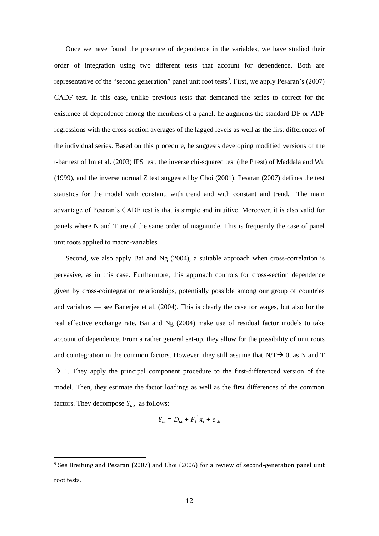Once we have found the presence of dependence in the variables, we have studied their order of integration using two different tests that account for dependence. Both are representative of the "second generation" panel unit root tests<sup>9</sup>. First, we apply Pesaran's  $(2007)$ CADF test. In this case, unlike previous tests that demeaned the series to correct for the existence of dependence among the members of a panel, he augments the standard DF or ADF regressions with the cross-section averages of the lagged levels as well as the first differences of the individual series. Based on this procedure, he suggests developing modified versions of the t-bar test of Im et al. (2003) IPS test, the inverse chi-squared test (the P test) of Maddala and Wu (1999), and the inverse normal Z test suggested by Choi (2001). Pesaran (2007) defines the test statistics for the model with constant, with trend and with constant and trend. The main advantage of Pesaran's CADF test is that is simple and intuitive. Moreover, it is also valid for panels where N and T are of the same order of magnitude. This is frequently the case of panel unit roots applied to macro-variables.

Second, we also apply Bai and Ng (2004), a suitable approach when cross-correlation is pervasive, as in this case. Furthermore, this approach controls for cross-section dependence given by cross-cointegration relationships, potentially possible among our group of countries and variables — see Banerjee et al. (2004). This is clearly the case for wages, but also for the real effective exchange rate. Bai and  $Ng(2004)$  make use of residual factor models to take account of dependence. From a rather general set-up, they allow for the possibility of unit roots and cointegration in the common factors. However, they still assume that  $N/T \rightarrow 0$ , as N and T  $\rightarrow$  1. They apply the principal component procedure to the first-differenced version of the model. Then, they estimate the factor loadings as well as the first differences of the common factors. They decompose  $Y_{i,t}$ , as follows:

$$
Y_{i,t}=D_{i,t}+F_i^{'}\pi_i+e_{i,t}
$$

1

<sup>9</sup> See Breitung and Pesaran (2007) and Choi (2006) for a review of second-generation panel unit root tests.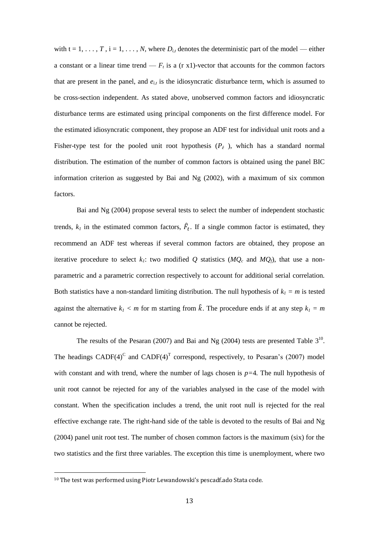with  $t = 1, \ldots, T$ ,  $i = 1, \ldots, N$ , where  $D_{i,t}$  denotes the deterministic part of the model — either a constant or a linear time trend  $-F_t$  is a (r x1)-vector that accounts for the common factors that are present in the panel, and  $e_i$  is the idiosyncratic disturbance term, which is assumed to be cross-section independent. As stated above, unobserved common factors and idiosyncratic disturbance terms are estimated using principal components on the first difference model. For the estimated idiosyncratic component, they propose an ADF test for individual unit roots and a Fisher-type test for the pooled unit root hypothesis  $(P_e)$ , which has a standard normal distribution. The estimation of the number of common factors is obtained using the panel BIC information criterion as suggested by Bai and Ng  $(2002)$ , with a maximum of six common factors.

Bai and Ng (2004) propose several tests to select the number of independent stochastic trends,  $k_l$  in the estimated common factors,  $\hat{F}_t$ . If a single common factor is estimated, they recommend an ADF test whereas if several common factors are obtained, they propose an iterative procedure to select  $k_i$ : two modified Q statistics ( $MQ_c$  and  $MQ_f$ ), that use a nonparametric and a parametric correction respectively to account for additional serial correlation. Both statistics have a non-standard limiting distribution. The null hypothesis of  $k_1 = m$  is tested against the alternative  $k_l < m$  for m starting from  $\hat{k}$ . The procedure ends if at any step  $k_l = m$ cannot be rejected.

The results of the Pesaran (2007) and Bai and Ng (2004) tests are presented Table  $3^{10}$ . The headings CADF(4)<sup>C</sup> and CADF(4)<sup>T</sup> correspond, respectively, to Pesaran's (2007) model with constant and with trend, where the number of lags chosen is  $p=4$ . The null hypothesis of unit root cannot be rejected for any of the variables analysed in the case of the model with constant. When the specification includes a trend, the unit root null is rejected for the real effective exchange rate. The right-hand side of the table is devoted to the results of Bai and Ng (2004) panel unit root test. The number of chosen common factors is the maximum (six) for the two statistics and the first three variables. The exception this time is unemployment, where two

<sup>&</sup>lt;sup>10</sup> The test was performed using Piotr Lewandowski's pescadf.ado Stata code.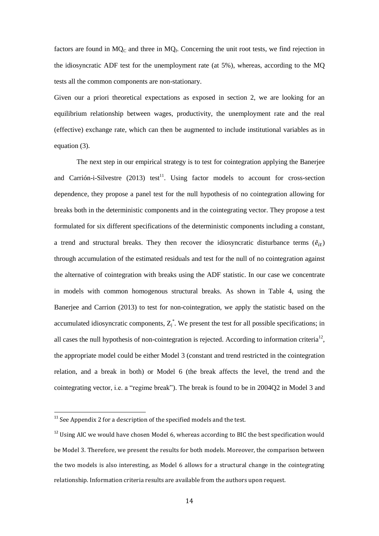factors are found in  $MQ_C$  and three in  $MQ_f$ . Concerning the unit root tests, we find rejection in the idiosyncratic ADF test for the unemployment rate (at 5%), whereas, according to the MQ tests all the common components are non-stationary.

Given our a priori theoretical expectations as exposed in section 2, we are looking for an equilibrium relationship between wages, productivity, the unemployment rate and the real (effective) exchange rate, which can then be augmented to include institutional variables as in equation (3).

The next step in our empirical strategy is to test for cointegration applying the Banerjee and Carrión-i-Silvestre  $(2013)$  test<sup>11</sup>. Using factor models to account for cross-section dependence, they propose a panel test for the null hypothesis of no cointegration allowing for breaks both in the deterministic components and in the cointegrating vector. They propose a test formulated for six different specifications of the deterministic components including a constant, a trend and structural breaks. They then recover the idiosyncratic disturbance terms  $(\tilde{e}_{it})$ through accumulation of the estimated residuals and test for the null of no cointegration against the alternative of cointegration with breaks using the ADF statistic. In our case we concentrate in models with common homogenous structural breaks. As shown in Table 4, using the Banerjee and Carrion (2013) to test for non-cointegration, we apply the statistic based on the accumulated idiosyncratic components,  $Z_j^*$ . We present the test for all possible specifications; in all cases the null hypothesis of non-cointegration is rejected. According to information criteria<sup>12</sup>, the appropriate model could be either Model 3 (constant and trend restricted in the cointegration relation, and a break in both) or Model 6 (the break affects the level, the trend and the cointegrating vector, i.e. a "regime break"). The break is found to be in 2004Q2 in Model 3 and

 $11$  See Appendix 2 for a description of the specified models and the test.

 $12$  Using AIC we would have chosen Model 6, whereas according to BIC the best specification would be Model 3. Therefore, we present the results for both models. Moreover, the comparison between the two models is also interesting, as Model 6 allows for a structural change in the cointegrating relationship. Information criteria results are available from the authors upon request.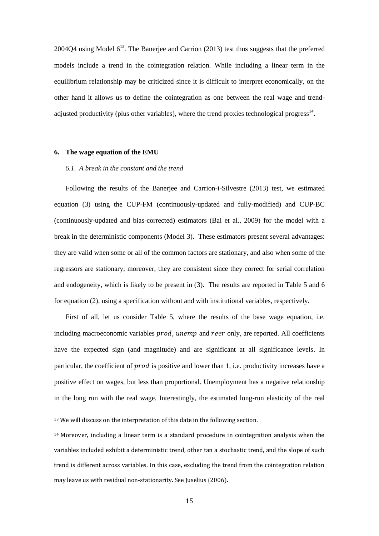2004Q4 using Model  $6^{13}$ . The Banerjee and Carrion (2013) test thus suggests that the preferred models include a trend in the cointegration relation. While including a linear term in the equilibrium relationship may be criticized since it is difficult to interpret economically, on the other hand it allows us to define the cointegration as one between the real wage and trendadjusted productivity (plus other variables), where the trend proxies technological progress $^{14}$ .

### **6. The wage equation of the EMU**

#### *6.1. A break in the constant and the trend*

Following the results of the Banerjee and Carrion-i-Silvestre (2013) test, we estimated equation (3) using the CUP-FM (continuously-updated and fully-modified) and CUP-BC (continuously-updated and bias-corrected) estimators (Bai et al., 2009) for the model with a break in the deterministic components (Model 3). These estimators present several advantages: they are valid when some or all of the common factors are stationary, and also when some of the regressors are stationary; moreover, they are consistent since they correct for serial correlation and endogeneity, which is likely to be present in (3). The results are reported in Table 5 and 6 for equation (2), using a specification without and with institutional variables, respectively.

First of all, let us consider Table 5, where the results of the base wage equation, i.e. including macroeconomic variables prod, unemp and reer only, are reported. All coefficients have the expected sign (and magnitude) and are significant at all significance levels. In particular, the coefficient of *prod* is positive and lower than 1, i.e. productivity increases have a positive effect on wages, but less than proportional. Unemployment has a negative relationship in the long run with the real wage. Interestingly, the estimated long-run elasticity of the real

 $13$  We will discuss on the interpretation of this date in the following section.

<sup>14</sup> Moreover, including a linear term is a standard procedure in cointegration analysis when the variables included exhibit a deterministic trend, other tan a stochastic trend, and the slope of such trend is different across variables. In this case, excluding the trend from the cointegration relation may leave us with residual non-stationarity. See Juselius (2006).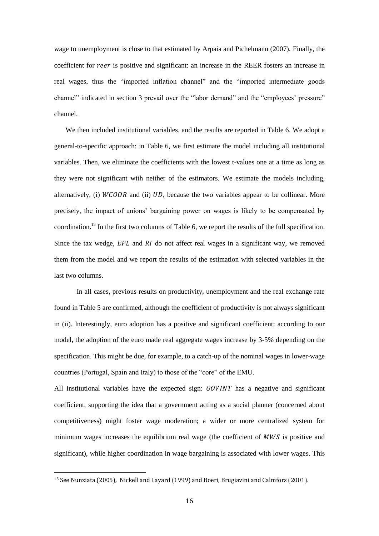wage to unemployment is close to that estimated by Arpaia and Pichelmann (2007). Finally, the coefficient for *reer* is positive and significant: an increase in the REER fosters an increase in real wages, thus the "imported inflation channel" and the "imported intermediate goods channel" indicated in section 3 prevail over the "labor demand" and the "employees' pressure" channel.

We then included institutional variables, and the results are reported in Table 6. We adopt a general-to-specific approach: in Table 6, we first estimate the model including all institutional variables. Then, we eliminate the coefficients with the lowest t-values one at a time as long as they were not significant with neither of the estimators. We estimate the models including, alternatively, (i)  $WCOOR$  and (ii)  $UD$ , because the two variables appear to be collinear. More precisely, the impact of unions' bargaining power on wages is likely to be compensated by coordination.<sup>15</sup> In the first two columns of Table 6, we report the results of the full specification. Since the tax wedge,  $EPL$  and RI do not affect real wages in a significant way, we removed them from the model and we report the results of the estimation with selected variables in the last two columns.

In all cases, previous results on productivity, unemployment and the real exchange rate found in Table 5 are confirmed, although the coefficient of productivity is not always significant in (ii). Interestingly, euro adoption has a positive and significant coefficient: according to our model, the adoption of the euro made real aggregate wages increase by 3-5% depending on the specification. This might be due, for example, to a catch-up of the nominal wages in lower-wage countries (Portugal, Spain and Italy) to those of the "core" of the EMU.

All institutional variables have the expected sign:  $GOVINT$  has a negative and significant coefficient, supporting the idea that a government acting as a social planner (concerned about competitiveness) might foster wage moderation; a wider or more centralized system for minimum wages increases the equilibrium real wage (the coefficient of MWS is positive and significant), while higher coordination in wage bargaining is associated with lower wages. This

<sup>15</sup> See Nunziata (2005), Nickell and Layard (1999) and Boeri, Brugiavini and Calmfors (2001).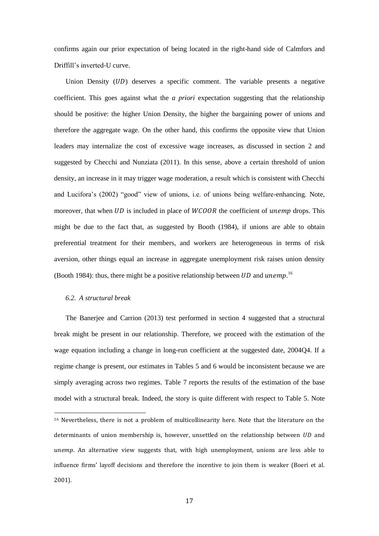confirms again our prior expectation of being located in the right-hand side of Calmfors and Driffill's inverted-U curve.

Union Density  $(UD)$  deserves a specific comment. The variable presents a negative coefficient. This goes against what the *a priori* expectation suggesting that the relationship should be positive: the higher Union Density, the higher the bargaining power of unions and therefore the aggregate wage. On the other hand, this confirms the opposite view that Union leaders may internalize the cost of excessive wage increases, as discussed in section 2 and suggested by Checchi and Nunziata (2011). In this sense, above a certain threshold of union density, an increase in it may trigger wage moderation, a result which is consistent with Checchi and Lucifora's (2002) "good" view of unions, i.e. of unions being welfare-enhancing. Note, moreover, that when  $UD$  is included in place of  $WCOOR$  the coefficient of unemp drops. This might be due to the fact that, as suggested by Booth (1984), if unions are able to obtain preferential treatment for their members, and workers are heterogeneous in terms of risk aversion, other things equal an increase in aggregate unemployment risk raises union density (Booth 1984): thus, there might be a positive relationship between UD and unemp.<sup>16</sup>

#### *6.2. A structural break*

**.** 

The Banerjee and Carrion (2013) test performed in section 4 suggested that a structural break might be present in our relationship. Therefore, we proceed with the estimation of the wage equation including a change in long-run coefficient at the suggested date, 2004Q4. If a regime change is present, our estimates in Tables 5 and 6 would be inconsistent because we are simply averaging across two regimes. Table 7 reports the results of the estimation of the base model with a structural break. Indeed, the story is quite different with respect to Table 5. Note

<sup>16</sup> Nevertheless, there is not a problem of multicollinearity here. Note that the literature on the determinants of union membership is, however, unsettled on the relationship between  $UD$  and unemp. An alternative view suggests that, with high unemployment, unions are less able to influence firms' layoff decisions and therefore the incentive to join them is weaker (Boeri et al. 2001).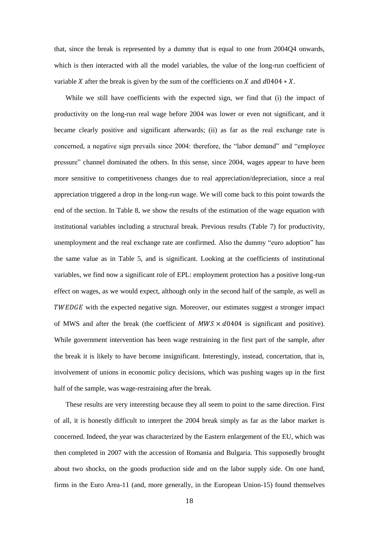that, since the break is represented by a dummy that is equal to one from 2004Q4 onwards, which is then interacted with all the model variables, the value of the long-run coefficient of variable X after the break is given by the sum of the coefficients on X and  $d0404 \times X$ .

While we still have coefficients with the expected sign, we find that (i) the impact of productivity on the long-run real wage before 2004 was lower or even not significant, and it became clearly positive and significant afterwards; (ii) as far as the real exchange rate is concerned, a negative sign prevails since 2004: therefore, the "labor demand" and "employee pressure" channel dominated the others. In this sense, since 2004, wages appear to have been more sensitive to competitiveness changes due to real appreciation/depreciation, since a real appreciation triggered a drop in the long-run wage. We will come back to this point towards the end of the section. In Table 8, we show the results of the estimation of the wage equation with institutional variables including a structural break. Previous results (Table 7) for productivity, unemployment and the real exchange rate are confirmed. Also the dummy "euro adoption" has the same value as in Table 5, and is significant. Looking at the coefficients of institutional variables, we find now a significant role of EPL: employment protection has a positive long-run effect on wages, as we would expect, although only in the second half of the sample, as well as TWEDGE with the expected negative sign. Moreover, our estimates suggest a stronger impact of MWS and after the break (the coefficient of  $MWS \times d0404$  is significant and positive). While government intervention has been wage restraining in the first part of the sample, after the break it is likely to have become insignificant. Interestingly, instead, concertation, that is, involvement of unions in economic policy decisions, which was pushing wages up in the first half of the sample, was wage-restraining after the break.

These results are very interesting because they all seem to point to the same direction. First of all, it is honestly difficult to interpret the 2004 break simply as far as the labor market is concerned. Indeed, the year was characterized by the Eastern enlargement of the EU, which was then completed in 2007 with the accession of Romania and Bulgaria. This supposedly brought about two shocks, on the goods production side and on the labor supply side. On one hand, firms in the Euro Area-11 (and, more generally, in the European Union-15) found themselves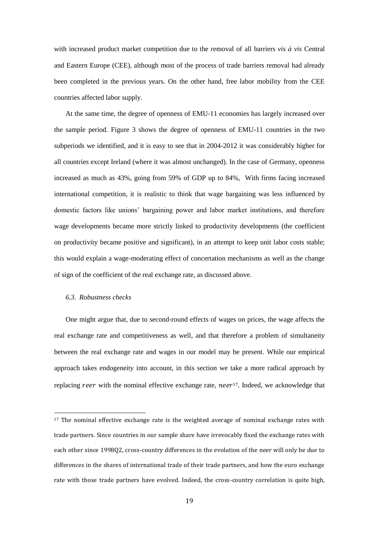with increased product market competition due to the removal of all barriers *vis à vis* Central and Eastern Europe (CEE), although most of the process of trade barriers removal had already been completed in the previous years. On the other hand, free labor mobility from the CEE countries affected labor supply.

At the same time, the degree of openness of EMU-11 economies has largely increased over the sample period. Figure 3 shows the degree of openness of EMU-11 countries in the two subperiods we identified, and it is easy to see that in 2004-2012 it was considerably higher for all countries except Ireland (where it was almost unchanged). In the case of Germany, openness increased as much as 43%, going from 59% of GDP up to 84%, With firms facing increased international competition, it is realistic to think that wage bargaining was less influenced by domestic factors like unions' bargaining power and labor market institutions, and therefore wage developments became more strictly linked to productivity developments (the coefficient on productivity became positive and significant), in an attempt to keep unit labor costs stable; this would explain a wage-moderating effect of concertation mechanisms as well as the change of sign of the coefficient of the real exchange rate, as discussed above.

#### *6.3. Robustness checks*

**.** 

One might argue that, due to second-round effects of wages on prices, the wage affects the real exchange rate and competitiveness as well, and that therefore a problem of simultaneity between the real exchange rate and wages in our model may be present. While our empirical approach takes endogeneity into account, in this section we take a more radical approach by replacing reer with the nominal effective exchange rate, neer<sup>17</sup>. Indeed, we acknowledge that

 $17$  The nominal effective exchange rate is the weighted average of nominal exchange rates with trade partners. Since countries in our sample share have irrevocably fixed the exchange rates with each other since 199802, cross-country differences in the evolution of the neer will only be due to differences in the shares of international trade of their trade partners, and how the euro exchange rate with those trade partners have evolved. Indeed, the cross-country correlation is quite high,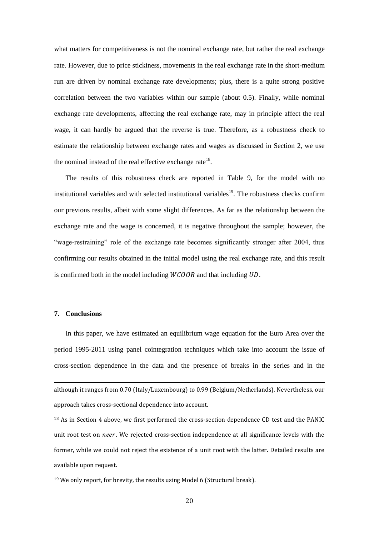what matters for competitiveness is not the nominal exchange rate, but rather the real exchange rate. However, due to price stickiness, movements in the real exchange rate in the short-medium run are driven by nominal exchange rate developments; plus, there is a quite strong positive correlation between the two variables within our sample (about 0.5). Finally, while nominal exchange rate developments, affecting the real exchange rate, may in principle affect the real wage, it can hardly be argued that the reverse is true. Therefore, as a robustness check to estimate the relationship between exchange rates and wages as discussed in Section 2, we use the nominal instead of the real effective exchange rate $^{18}$ .

The results of this robustness check are reported in Table 9, for the model with no institutional variables and with selected institutional variables<sup>19</sup>. The robustness checks confirm our previous results, albeit with some slight differences. As far as the relationship between the exchange rate and the wage is concerned, it is negative throughout the sample; however, the "wage-restraining" role of the exchange rate becomes significantly stronger after 2004, thus confirming our results obtained in the initial model using the real exchange rate, and this result is confirmed both in the model including  $WCOOR$  and that including  $UD$ .

## **7. Conclusions**

**.** 

In this paper, we have estimated an equilibrium wage equation for the Euro Area over the period 1995-2011 using panel cointegration techniques which take into account the issue of cross-section dependence in the data and the presence of breaks in the series and in the

although it ranges from 0.70 (Italy/Luxembourg) to 0.99 (Belgium/Netherlands). Nevertheless, our approach takes cross-sectional dependence into account.

<sup>18</sup> As in Section 4 above, we first performed the cross-section dependence CD test and the PANIC unit root test on neer. We rejected cross-section independence at all significance levels with the former, while we could not reject the existence of a unit root with the latter. Detailed results are available upon request.

<sup>19</sup> We only report, for brevity, the results using Model 6 (Structural break).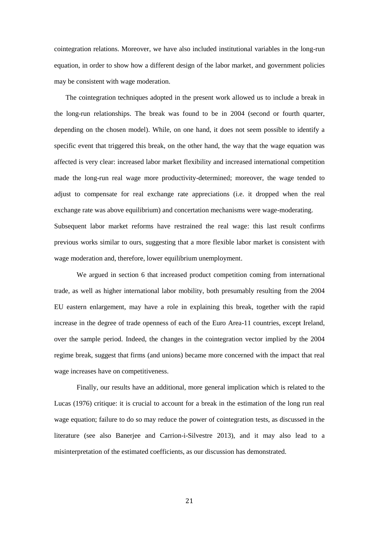cointegration relations. Moreover, we have also included institutional variables in the long-run equation, in order to show how a different design of the labor market, and government policies may be consistent with wage moderation.

The cointegration techniques adopted in the present work allowed us to include a break in the long-run relationships. The break was found to be in 2004 (second or fourth quarter, depending on the chosen model). While, on one hand, it does not seem possible to identify a specific event that triggered this break, on the other hand, the way that the wage equation was affected is very clear: increased labor market flexibility and increased international competition made the long-run real wage more productivity-determined; moreover, the wage tended to adjust to compensate for real exchange rate appreciations (i.e. it dropped when the real exchange rate was above equilibrium) and concertation mechanisms were wage-moderating. Subsequent labor market reforms have restrained the real wage: this last result confirms previous works similar to ours, suggesting that a more flexible labor market is consistent with

wage moderation and, therefore, lower equilibrium unemployment.

We argued in section 6 that increased product competition coming from international trade, as well as higher international labor mobility, both presumably resulting from the 2004 EU eastern enlargement, may have a role in explaining this break, together with the rapid increase in the degree of trade openness of each of the Euro Area-11 countries, except Ireland, over the sample period. Indeed, the changes in the cointegration vector implied by the 2004 regime break, suggest that firms (and unions) became more concerned with the impact that real wage increases have on competitiveness.

Finally, our results have an additional, more general implication which is related to the Lucas (1976) critique: it is crucial to account for a break in the estimation of the long run real wage equation; failure to do so may reduce the power of cointegration tests, as discussed in the literature (see also Banerjee and Carrion-i-Silvestre 2013), and it may also lead to a misinterpretation of the estimated coefficients, as our discussion has demonstrated.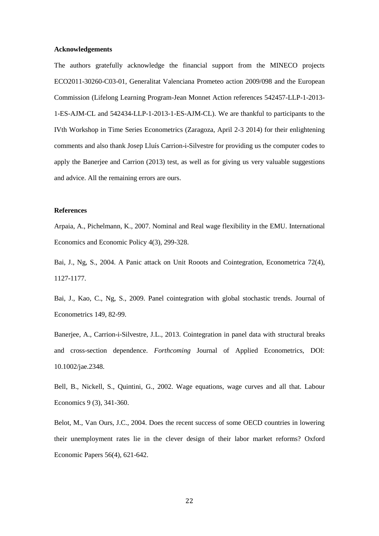#### **Acknowledgements**

The authors gratefully acknowledge the financial support from the MINECO projects ECO2011-30260-C03-01, Generalitat Valenciana Prometeo action 2009/098 and the European Commission (Lifelong Learning Program-Jean Monnet Action references 542457-LLP-1-2013- 1-ES-AJM-CL and 542434-LLP-1-2013-1-ES-AJM-CL). We are thankful to participants to the IVth Workshop in Time Series Econometrics (Zaragoza, April 2-3 2014) for their enlightening comments and also thank Josep Lluís Carrion-i-Silvestre for providing us the computer codes to apply the Banerjee and Carrion (2013) test, as well as for giving us very valuable suggestions and advice. All the remaining errors are ours.

#### **References**

Arpaia, A., Pichelmann, K., 2007. Nominal and Real wage flexibility in the EMU. International Economics and Economic Policy 4(3), 299-328.

Bai, J., Ng, S., 2004. A Panic attack on Unit Rooots and Cointegration, Econometrica 72(4), 1127-1177.

Bai, J., Kao, C., Ng, S., 2009. [Panel cointegration with global stochastic trends.](http://ideas.repec.org/a/eee/econom/v149y2009i1p82-99.html) [Journal of](http://ideas.repec.org/s/eee/econom.html)  [Econometrics](http://ideas.repec.org/s/eee/econom.html) 149, 82-99.

Banerjee, A., Carrion-i-Silvestre, J.L., 2013. Cointegration in panel data with structural breaks and cross-section dependence. *Forthcoming* Journal of Applied Econometrics, DOI: 10.1002/jae.2348.

Bell, B., Nickell, S., Quintini, G., 2002. Wage equations, wage curves and all that. Labour Economics 9 (3), 341-360.

Belot, M., Van Ours, J.C., 2004. Does the recent success of some OECD countries in lowering their unemployment rates lie in the clever design of their labor market reforms? Oxford Economic Papers 56(4), 621-642.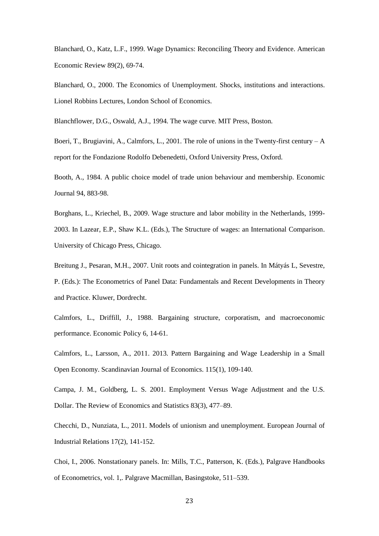Blanchard, O., Katz, L.F., 1999. Wage Dynamics: Reconciling Theory and Evidence. American Economic Review 89(2), 69-74.

Blanchard, O., 2000. The Economics of Unemployment. Shocks, institutions and interactions. Lionel Robbins Lectures, London School of Economics*.*

Blanchflower, D.G., Oswald, A.J., 1994. The wage curve. MIT Press, Boston.

Boeri, T., Brugiavini, A., Calmfors, L., 2001. The role of unions in the Twenty-first century –  $A$ report for the Fondazione Rodolfo Debenedetti, Oxford University Press, Oxford.

Booth, A., 1984. A public choice model of trade union behaviour and membership. Economic Journal 94, 883-98.

Borghans, L., Kriechel, B., 2009. Wage structure and labor mobility in the Netherlands, 1999- 2003. In Lazear, E.P., Shaw K.L. (Eds.), The Structure of wages: an International Comparison. University of Chicago Press, Chicago.

Breitung J., Pesaran, M.H., 2007. Unit roots and cointegration in panels. In Mátyás L, Sevestre, P. (Eds.): The Econometrics of Panel Data: Fundamentals and Recent Developments in Theory and Practice. Kluwer, Dordrecht.

Calmfors, L., Driffill, J., 1988. Bargaining structure, corporatism, and macroeconomic performance. Economic Policy 6, 14-61.

Calmfors, L., Larsson, A., 2011. 2013. Pattern Bargaining and Wage Leadership in a Small Open Economy. Scandinavian Journal of Economics. 115(1), 109-140.

Campa, J. M., Goldberg, L. S. 2001. Employment Versus Wage Adjustment and the U.S. Dollar. The Review of Economics and Statistics 83(3), 477–89.

Checchi, D., Nunziata, L., 2011. Models of unionism and unemployment. European Journal of Industrial Relations 17(2), 141-152.

Choi, I., 2006. Nonstationary panels. In: Mills, T.C., Patterson, K. (Eds.), Palgrave Handbooks of Econometrics*,* vol. 1,. Palgrave Macmillan, Basingstoke, 511–539.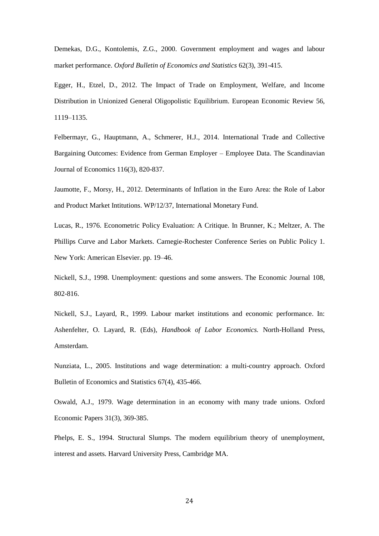Demekas, D.G., Kontolemis, Z.G., 2000. Government employment and wages and labour market performance. *Oxford Bulletin of Economics and Statistics* 62(3), 391-415.

Egger, H., Etzel, D., 2012. The Impact of Trade on Employment, Welfare, and Income Distribution in Unionized General Oligopolistic Equilibrium. European Economic Review 56, 1119–1135.

Felbermayr, G., Hauptmann, A., Schmerer, H.J., 2014. International Trade and Collective Bargaining Outcomes: Evidence from German Employer – Employee Data. The Scandinavian Journal of Economics 116(3), 820-837.

Jaumotte, F., Morsy, H., 2012. Determinants of Inflation in the Euro Area: the Role of Labor and Product Market Intitutions. WP/12/37, International Monetary Fund.

Lucas, R., 1976. Econometric Policy Evaluation: A Critique. In Brunner, K.; Meltzer, A. The Phillips Curve and Labor Markets. Carnegie-Rochester Conference Series on Public Policy 1. New York: American Elsevier. pp. 19–46.

Nickell, S.J., 1998. Unemployment: questions and some answers. The Economic Journal 108, 802-816.

Nickell, S.J., Layard, R., 1999. Labour market institutions and economic performance. In: Ashenfelter, O. Layard, R. (Eds), *Handbook of Labor Economics.* North-Holland Press, Amsterdam.

Nunziata, L., 2005. Institutions and wage determination: a multi-country approach. Oxford Bulletin of Economics and Statistics 67(4), 435-466.

Oswald, A.J., 1979. Wage determination in an economy with many trade unions. Oxford Economic Papers 31(3), 369-385.

Phelps, E. S., 1994. Structural Slumps. The modern equilibrium theory of unemployment, interest and assets*.* Harvard University Press, Cambridge MA.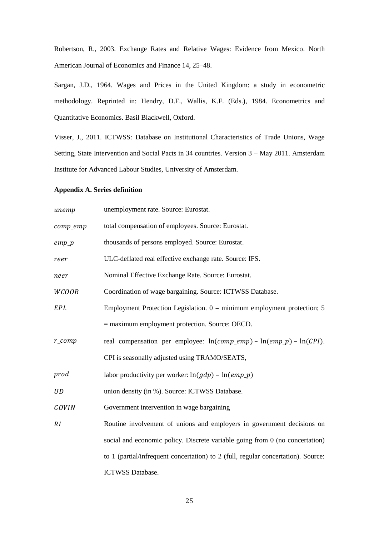Robertson, R., 2003. Exchange Rates and Relative Wages: Evidence from Mexico. North American Journal of Economics and Finance 14, 25–48.

Sargan, J.D., 1964. Wages and Prices in the United Kingdom: a study in econometric methodology. Reprinted in: Hendry, D.F., Wallis, K.F. (Eds.), 1984. Econometrics and Quantitative Economics. Basil Blackwell, Oxford.

Visser, J., 2011. ICTWSS: Database on Institutional Characteristics of Trade Unions, Wage Setting, State Intervention and Social Pacts in 34 countries. Version 3 – May 2011. Amsterdam Institute for Advanced Labour Studies, University of Amsterdam.

## **Appendix A. Series definition**

| unemp               | unemployment rate. Source: Eurostat.                                              |
|---------------------|-----------------------------------------------------------------------------------|
| comp_emp            | total compensation of employees. Source: Eurostat.                                |
| $emp_p$             | thousands of persons employed. Source: Eurostat.                                  |
| reer                | ULC-deflated real effective exchange rate. Source: IFS.                           |
| neer                | Nominal Effective Exchange Rate. Source: Eurostat.                                |
| <b>WCOOR</b>        | Coordination of wage bargaining. Source: ICTWSS Database.                         |
| EPL                 | Employment Protection Legislation. $0 =$ minimum employment protection; 5         |
|                     | $=$ maximum employment protection. Source: OECD.                                  |
| $r_{\text{1}}$ comp | real compensation per employee: $ln(comp\_emp) - ln(emp_p) - ln(CPI)$ .           |
|                     | CPI is seasonally adjusted using TRAMO/SEATS,                                     |
| prod                | labor productivity per worker: $ln(gdp) - ln(emp_p)$                              |
| UD                  | union density (in %). Source: ICTWSS Database.                                    |
| <b>GOVIN</b>        | Government intervention in wage bargaining                                        |
| RI                  | Routine involvement of unions and employers in government decisions on            |
|                     | social and economic policy. Discrete variable going from 0 (no concertation)      |
|                     | to 1 (partial/infrequent concertation) to 2 (full, regular concertation). Source: |
|                     | <b>ICTWSS Database.</b>                                                           |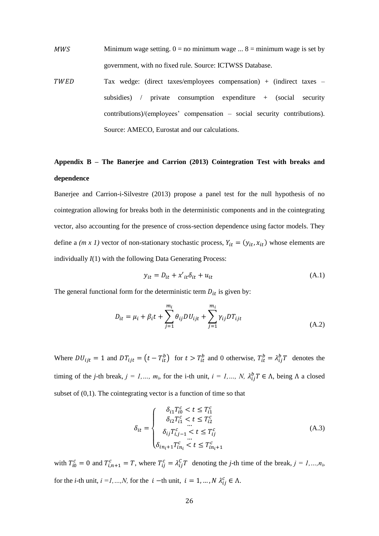- $MWS$  Minimum wage setting.  $0 = no$  minimum wage ...  $8 = \text{minimum}$  wage is set by government, with no fixed rule. Source: ICTWSS Database.
- TWED Tax wedge: (direct taxes/employees compensation) + (indirect taxes subsidies) / private consumption expenditure + (social security contributions)/(employees' compensation – social security contributions). Source: AMECO, Eurostat and our calculations.

# **Appendix B – The Banerjee and Carrion (2013) Cointegration Test with breaks and dependence**

Banerjee and Carrion-i-Silvestre (2013) propose a panel test for the null hypothesis of no cointegration allowing for breaks both in the deterministic components and in the cointegrating vector, also accounting for the presence of cross-section dependence using factor models. They define a *(m x 1)* vector of non-stationary stochastic process,  $Y_{it} = (y_{it}, x_{it})$  whose elements are individually *I*(1) with the following Data Generating Process:

$$
y_{it} = D_{it} + x'_{it} \delta_{it} + u_{it}
$$
 (A.1)

The general functional form for the deterministic term  $D_{it}$  is given by:

$$
D_{it} = \mu_i + \beta_i t + \sum_{j=1}^{m_i} \theta_{ij} D U_{ijt} + \sum_{j=1}^{m_i} \gamma_{ij} D T_{ijt}
$$
\n(A.2)

Where  $DU_{i} = 1$  and  $DT_{i} = (t - T_{it}^b)$  for  $t > T_{it}^b$  and 0 otherwise,  $T_{it}^b = \lambda_{ii}^b T$  denotes the timing of the *j*-th break,  $j = 1,..., m_i$ , for the i-th unit,  $i = 1,..., N$ ,  $\lambda_{ij}^b T \in \Lambda$ , being  $\Lambda$  a closed subset of  $(0,1)$ . The cointegrating vector is a function of time so that

$$
\delta_{it} = \begin{cases}\n\delta_{i1} T_{i0}^c < t \le T_{i1}^c \\
\delta_{i2} T_{i1}^c < t \le T_{i2}^c \\
\vdots \\
\delta_{ij} T_{i,j-1}^c < t \le T_{ij}^c \\
\vdots \\
\delta_{in_i+1} T_{in_i}^c < t \le T_{in_i+1}^c\n\end{cases} \tag{A.3}
$$

with  $T_{i0}^c = 0$  and  $T_{i,n+1}^c = T$ , where  $T_{ii}^c = \lambda_{ii}^c T$  denoting the *j*-th time of the break,  $j = 1,...,n_i$ , for the *i*-th unit,  $i = 1, ..., N$ , for the  $i -$ th unit,  $i = 1, ..., N$   $\lambda_{ij}^c \in \Lambda$ .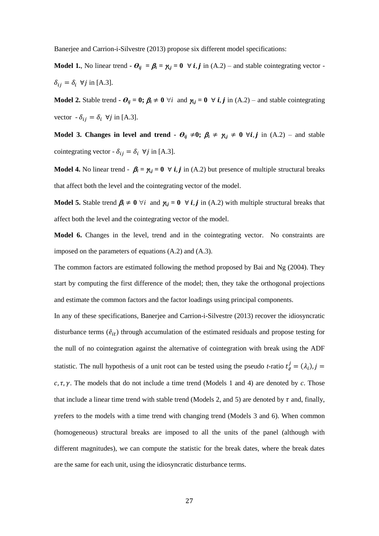Banerjee and Carrion-i-Silvestre (2013) propose six different model specifications:

**Model 1.**, No linear trend  $\cdot \theta_{ij} = \beta_i = \gamma_{i,j} = 0 \ \forall i, j \text{ in (A.2)}$  – and stable cointegrating vector - $\delta_{ij} = \delta_i \ \forall j$  in [A.3].

**Model 2.** Stable trend  $\cdot \theta_{ij} = 0$ ;  $\beta_i \neq 0$   $\forall i$  and  $\gamma_{i,j} = 0$   $\forall i, j$  in (A.2) – and stable cointegrating vector  $-\delta_{ij} = \delta_i \ \forall j$  in [A.3].

**Model 3. Changes in level and trend**  $\cdot$  $\theta_{ij} \neq 0$ **;**  $\beta_i \neq \gamma_{i,j} \neq 0$   $\forall i, j$  in (A.2) – and stable cointegrating vector -  $\delta_{ij} = \delta_i \ \forall j$  in [A.3].

**Model 4.** No linear trend -  $\beta_i = \gamma_{i,j} = 0 \ \forall i, j$  in (A.2) but presence of multiple structural breaks that affect both the level and the cointegrating vector of the model.

**Model 5.** Stable trend  $\beta_i \neq 0$   $\forall i$  and  $\gamma_{i,j} = 0$   $\forall i, j$  in (A.2) with multiple structural breaks that affect both the level and the cointegrating vector of the model.

**Model 6.** Changes in the level, trend and in the cointegrating vector. No constraints are imposed on the parameters of equations (A.2) and (A.3).

The common factors are estimated following the method proposed by Bai and Ng (2004). They start by computing the first difference of the model; then, they take the orthogonal projections and estimate the common factors and the factor loadings using principal components.

In any of these specifications, Banerjee and Carrion-i-Silvestre (2013) recover the idiosyncratic disturbance terms  $(\tilde{e}_{it})$  through accumulation of the estimated residuals and propose testing for the null of no cointegration against the alternative of cointegration with break using the ADF statistic. The null hypothesis of a unit root can be tested using the pseudo *t*-ratio  $t_{\tilde{e}}^j = (\lambda_i)$ ,  $c, \tau, \gamma$ . The models that do not include a time trend (Models 1 and 4) are denoted by  $c$ . Those that include a linear time trend with stable trend (Models 2, and 5) are denoted by  $\tau$  and, finally,  $v$  refers to the models with a time trend with changing trend (Models 3 and 6). When common (homogeneous) structural breaks are imposed to all the units of the panel (although with different magnitudes), we can compute the statistic for the break dates, where the break dates are the same for each unit, using the idiosyncratic disturbance terms.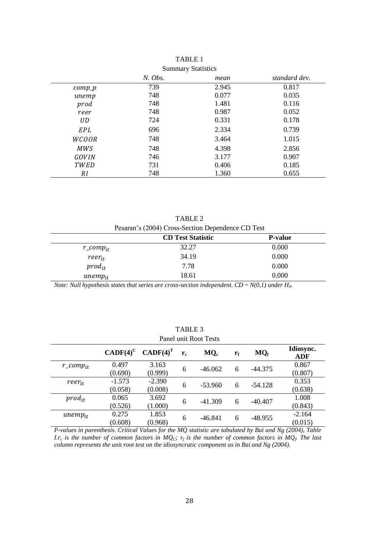|              | $N.$ Obs. | mean  | standard dev. |
|--------------|-----------|-------|---------------|
| $comp_p$     | 739       | 2.945 | 0.817         |
| unemp        | 748       | 0.077 | 0.035         |
| prod         | 748       | 1.481 | 0.116         |
| reer         | 748       | 0.987 | 0.052         |
| UD.          | 724       | 0.331 | 0.178         |
| EPL          | 696       | 2.334 | 0.739         |
| <b>WCOOR</b> | 748       | 3.464 | 1.015         |
| <b>MWS</b>   | 748       | 4.398 | 2.856         |
| GOVIN        | 746       | 3.177 | 0.907         |
| TWED         | 731       | 0.406 | 0.185         |
| RI           | 748       | 1.360 | 0.655         |

TABLE 1 Summary Statistics

TABLE 2 Pesaran's (2004) Cross-Section Dependence CD Test

|                | <b>CD Test Statistic</b> | <b>P-value</b> |
|----------------|--------------------------|----------------|
| r_comp $_{it}$ | 32.27                    | 0.000          |
| $reer_{it}$    | 34.19                    | 0.000          |
| $prod_{it}$    | 7.78                     | 0.000          |
| $unemp_{it}$   | 18.61                    | 0.000          |

*Note: Null hypothesis states that series are cross-section independent.*  $CD \sim N(0,1)$  *under*  $H_0$ *.* 

| Panel unit Root Tests |                     |                     |                   |           |             |                 |                         |  |  |
|-----------------------|---------------------|---------------------|-------------------|-----------|-------------|-----------------|-------------------------|--|--|
|                       | $CADE(4)^C$         | $CADE(4)^{T}$       | ${\bf r}_{\rm c}$ | $MQ_c$    | $r_{\rm f}$ | MQ <sub>f</sub> | Idiosync.<br><b>ADF</b> |  |  |
| $r\_comp_{it}$        | 0.497<br>(0.690)    | 3.163<br>(0.999)    | 6                 | $-46.062$ | 6           | $-44.375$       | 0.867<br>(0.807)        |  |  |
| $reer_{it}$           | $-1.573$<br>(0.058) | $-2.390$<br>(0.008) | 6                 | $-53.960$ | 6           | $-54.128$       | 0.353<br>(0.638)        |  |  |
| $prod_{it}$           | 0.065<br>(0.526)    | 3.692<br>(1.000)    | 6                 | $-41.309$ | 6           | $-40.407$       | 1.008<br>(0.843)        |  |  |
| $unemp_{it}$          | 0.275<br>(0.608)    | 1.853<br>(0.968)    | 6                 | $-46.841$ | 6           | $-48.955$       | $-2.164$<br>(0.015)     |  |  |

TABLE 3

*P-values in parenthesis. Critical Values for the MQ statistic are tabulated by Bai and Ng (2004), Table I.r<sub>c</sub>* is the number of common factors in  $MQ_C$ ;  $r_f$  is the number of common factors in  $MQ_f$ . The last *column represents the unit root test on the idiosyncratic component as in Bai and Ng (2004).*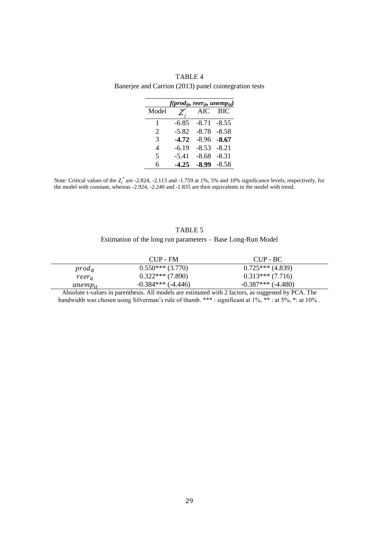|       | f(prod <sub>ijt</sub> , reer <sub>ijt</sub> , unemp <sub>ijt</sub> ) |            |         |
|-------|----------------------------------------------------------------------|------------|---------|
| Model |                                                                      | <b>AIC</b> | - BIC   |
| 1     | $-6.85$                                                              | $-8.71$    | $-8.55$ |
| 2     | $-5.82$                                                              | $-8.78$    | $-8.58$ |
| 3     | $-4.72$                                                              | $-8.96$    | $-8.67$ |
| 4     | $-6.19$                                                              | $-8.53$    | $-8.21$ |
| 5     | $-5.41$                                                              | $-8.68$    | $-8.31$ |
| 6     | $-4.25$                                                              | $-8.99$    | $-8.58$ |

TABLE 4 Banerjee and Carrion (2013) panel cointegration tests

Note: Critical values of the  $Z_j^*$  are -2.824, -2.113 and -1.759 at 1%, 5% and 10% significance levels, respectively, for the model with constant, whereas -2.924, -2.240 and -1.835 are their equivalents in the model with trend.

# TABLE 5 Estimation of the long run parameters – Base Long-Run Model

|                  | CUP - FM             | CUP - BC             |
|------------------|----------------------|----------------------|
| $prod_{it}$      | $0.550***(3.770)$    | $0.725***$ (4.839)   |
| $reer_{it}$      | $0.322***$ (7.890)   | $0.313***(7.716)$    |
| $\it unemp_{it}$ | $-0.384***$ (-4.446) | $-0.387***$ (-4.480) |

Absolute t-values in parenthesis. All models are estimated with 2 factors, as suggested by PCA. The bandwidth was chosen using Silverman's rule of thumb. \*\*\* : significant at 1%, \*\* : at 5%, \*: at 10%.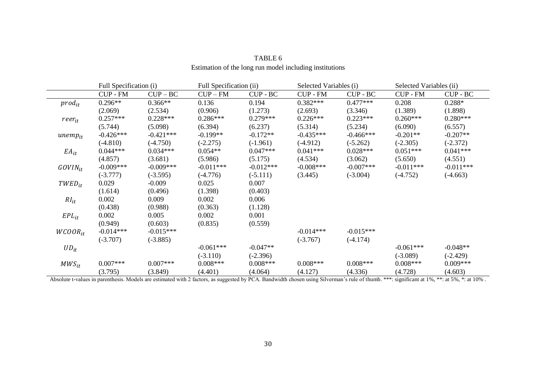|              | Full Specification (i) |             | Full Specification (ii) |             |                 | Selected Variables (i) |                 | Selected Variables (ii) |
|--------------|------------------------|-------------|-------------------------|-------------|-----------------|------------------------|-----------------|-------------------------|
|              | <b>CUP - FM</b>        | $CUP-BC$    | $CUP-FM$                | $CUP - BC$  | <b>CUP - FM</b> | CUP - BC               | <b>CUP - FM</b> | CUP - BC                |
| $prod_{it}$  | $0.296**$              | $0.366**$   | 0.136                   | 0.194       | $0.382***$      | $0.477***$             | 0.208           | $0.288*$                |
|              | (2.069)                | (2.534)     | (0.906)                 | (1.273)     | (2.693)         | (3.346)                | (1.389)         | (1.898)                 |
| $reer_{it}$  | $0.257***$             | $0.228***$  | $0.286***$              | $0.279***$  | $0.226***$      | $0.223***$             | $0.260***$      | $0.280***$              |
|              | (5.744)                | (5.098)     | (6.394)                 | (6.237)     | (5.314)         | (5.234)                | (6.090)         | (6.557)                 |
| $unemp_{it}$ | $-0.426***$            | $-0.421***$ | $-0.199**$              | $-0.172**$  | $-0.435***$     | $-0.466***$            | $-0.201**$      | $-0.207**$              |
|              | $(-4.810)$             | $(-4.750)$  | $(-2.275)$              | $(-1.961)$  | $(-4.912)$      | $(-5.262)$             | $(-2.305)$      | $(-2.372)$              |
| $EA_{it}$    | $0.044***$             | $0.034***$  | $0.054**$               | $0.047***$  | $0.041***$      | $0.028***$             | $0.051***$      | $0.041***$              |
|              | (4.857)                | (3.681)     | (5.986)                 | (5.175)     | (4.534)         | (3.062)                | (5.650)         | (4.551)                 |
| $GOVIN_{it}$ | $-0.009***$            | $-0.009***$ | $-0.011***$             | $-0.012***$ | $-0.008***$     | $-0.007***$            | $-0.011***$     | $-0.011***$             |
|              | $(-3.777)$             | $(-3.595)$  | $(-4.776)$              | $(-5.111)$  | (3.445)         | $(-3.004)$             | $(-4.752)$      | $(-4.663)$              |
| $TWED_{it}$  | 0.029                  | $-0.009$    | 0.025                   | 0.007       |                 |                        |                 |                         |
|              | (1.614)                | (0.496)     | (1.398)                 | (0.403)     |                 |                        |                 |                         |
| $RI_{it}$    | 0.002                  | 0.009       | 0.002                   | 0.006       |                 |                        |                 |                         |
|              | (0.438)                | (0.988)     | (0.363)                 | (1.128)     |                 |                        |                 |                         |
| $EPL_{it}$   | 0.002                  | 0.005       | 0.002                   | 0.001       |                 |                        |                 |                         |
|              | (0.949)                | (0.603)     | (0.835)                 | (0.559)     |                 |                        |                 |                         |
| $WCOOR_{it}$ | $-0.014***$            | $-0.015***$ |                         |             | $-0.014***$     | $-0.015***$            |                 |                         |
|              | $(-3.707)$             | $(-3.885)$  |                         |             | $(-3.767)$      | $(-4.174)$             |                 |                         |
| $UD_{it}$    |                        |             | $-0.061***$             | $-0.047**$  |                 |                        | $-0.061***$     | $-0.048**$              |
|              |                        |             | $(-3.110)$              | $(-2.396)$  |                 |                        | $(-3.089)$      | $(-2.429)$              |
| $MWS_{it}$   | $0.007***$             | $0.007***$  | $0.008***$              | $0.008***$  | $0.008***$      | $0.008***$             | $0.008***$      | $0.009***$              |
|              | (3.795)                | (3.849)     | (4.401)                 | (4.064)     | (4.127)         | (4.336)                | (4.728)         | (4.603)                 |

# TABLE 6 Estimation of the long run model including institutions

Absolute t-values in parenthesis. Models are estimated with 2 factors, as suggested by PCA. Bandwidth chosen using Silverman's rule of thumb. \*\*\*: significant at 1%, \*\*: at 5%, \*: at 10%.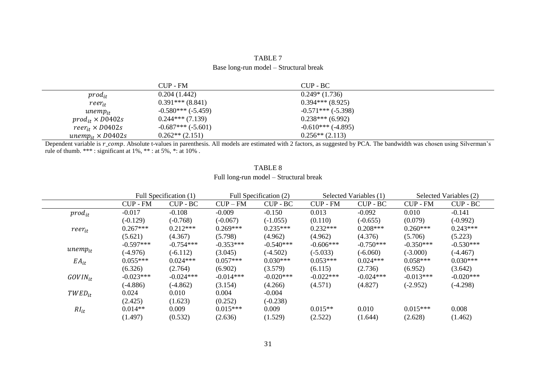| TABLE 7                                |  |
|----------------------------------------|--|
| Base long-run model - Structural break |  |

|                                     | CUP - FM            | $CUP - BC$           |  |
|-------------------------------------|---------------------|----------------------|--|
| $prod_{it}$                         | 0.204(1.442)        | $0.249*(1.736)$      |  |
| $reer_{it}$                         | $0.391***$ (8.841)  | $0.394***$ (8.925)   |  |
| $unemp_{it}$                        | $-0.580***(-5.459)$ | $-0.571***(-5.398)$  |  |
| $prod_{it} \times D0402s$           | $0.244***(7.139)$   | $0.238***$ (6.992)   |  |
| $reer_{it} \times D0402s$           | $-0.687***(-5.601)$ | $-0.610***$ (-4.895) |  |
| unemp <sub>it</sub> $\times$ D0402s | $0.262**$ (2.151)   | $0.256**$ (2.113)    |  |

Dependent variable is r\_comp. Absolute t-values in parenthesis. All models are estimated with 2 factors, as suggested by PCA. The bandwidth was chosen using Silverman's rule of thumb. \*\*\* : significant at  $1\%$ , \*\* : at  $5\%$ , \*: at  $10\%$ .

|              |                 | Full Specification (1) |             | Full Specification (2) |                 | Selected Variables (1) |                 | Selected Variables (2) |
|--------------|-----------------|------------------------|-------------|------------------------|-----------------|------------------------|-----------------|------------------------|
|              | <b>CUP - FM</b> | $CUP - BC$             | $CUP-FM$    | $CUP - BC$             | <b>CUP - FM</b> | $CUP - BC$             | <b>CUP - FM</b> | $CUP - BC$             |
| $prod_{it}$  | $-0.017$        | $-0.108$               | $-0.009$    | $-0.150$               | 0.013           | $-0.092$               | 0.010           | $-0.141$               |
|              | $(-0.129)$      | $(-0.768)$             | $(-0.067)$  | $(-1.055)$             | (0.110)         | $(-0.655)$             | (0.079)         | $(-0.992)$             |
| $reer_{it}$  | $0.267***$      | $0.212***$             | $0.269***$  | $0.235***$             | $0.232***$      | $0.208***$             | $0.260***$      | $0.243***$             |
|              | (5.621)         | (4.367)                | (5.798)     | (4.962)                | (4.962)         | (4.376)                | (5.706)         | (5.223)                |
|              | $-0.597***$     | $-0.754***$            | $-0.353***$ | $-0.540***$            | $-0.606***$     | $-0.750***$            | $-0.350***$     | $-0.530***$            |
| $unemp_{it}$ | $(-4.976)$      | $(-6.112)$             | (3.045)     | $(-4.502)$             | $(-5.033)$      | $(-6.060)$             | $(-3.000)$      | $(-4.467)$             |
| $EA_{it}$    | $0.055***$      | $0.024***$             | $0.057***$  | $0.030***$             | $0.053***$      | $0.024***$             | $0.058***$      | $0.030***$             |
|              | (6.326)         | (2.764)                | (6.902)     | (3.579)                | (6.115)         | (2.736)                | (6.952)         | (3.642)                |
| $GOVIN_{it}$ | $-0.023***$     | $-0.024***$            | $-0.014***$ | $-0.020***$            | $-0.022***$     | $-0.024***$            | $-0.013***$     | $-0.020***$            |
|              | $(-4.886)$      | $(-4.862)$             | (3.154)     | (4.266)                | (4.571)         | (4.827)                | $(-2.952)$      | $(-4.298)$             |
| $TWED_{it}$  | 0.024           | 0.010                  | 0.004       | $-0.004$               |                 |                        |                 |                        |
|              | (2.425)         | (1.623)                | (0.252)     | $(-0.238)$             |                 |                        |                 |                        |
| $RI_{it}$    | $0.014**$       | 0.009                  | $0.015***$  | 0.009                  | $0.015**$       | 0.010                  | $0.015***$      | 0.008                  |
|              | (1.497)         | (0.532)                | (2.636)     | (1.529)                | (2.522)         | (1.644)                | (2.628)         | (1.462)                |

# TABLE 8 Full long-run model – Structural break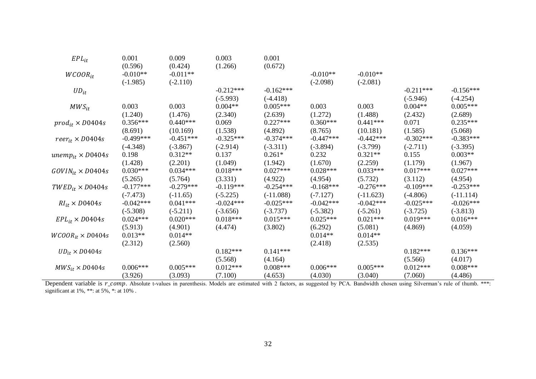| $EPL_{it}$                 | 0.001       | 0.009       | 0.003       | 0.001       |             |             |             |             |
|----------------------------|-------------|-------------|-------------|-------------|-------------|-------------|-------------|-------------|
|                            | (0.596)     | (0.424)     | (1.266)     | (0.672)     |             |             |             |             |
| $WCOOR_{it}$               | $-0.010**$  | $-0.011**$  |             |             | $-0.010**$  | $-0.010**$  |             |             |
|                            | $(-1.985)$  | $(-2.110)$  |             |             | $(-2.098)$  | $(-2.081)$  |             |             |
| $UD_{it}$                  |             |             | $-0.212***$ | $-0.162***$ |             |             | $-0.211***$ | $-0.156***$ |
|                            |             |             | $(-5.993)$  | $(-4.418)$  |             |             | $(-5.946)$  | $(-4.254)$  |
| $MWS_{it}$                 | 0.003       | 0.003       | $0.004**$   | $0.005***$  | 0.003       | 0.003       | $0.004**$   | $0.005***$  |
|                            | (1.240)     | (1.476)     | (2.340)     | (2.639)     | (1.272)     | (1.488)     | (2.432)     | (2.689)     |
| $prod_{it} \times D0404s$  | $0.356***$  | $0.440***$  | 0.069       | $0.227***$  | $0.360***$  | $0.441***$  | 0.071       | $0.235***$  |
|                            | (8.691)     | (10.169)    | (1.538)     | (4.892)     | (8.765)     | (10.181)    | (1.585)     | (5.068)     |
| $reer_{it} \times D0404s$  | $-0.499***$ | $-0.451***$ | $-0.325***$ | $-0.374***$ | $-0.447***$ | $-0.442***$ | $-0.302***$ | $-0.383***$ |
|                            | $(-4.348)$  | $(-3.867)$  | $(-2.914)$  | $(-3.311)$  | $(-3.894)$  | $(-3.799)$  | $(-2.711)$  | $(-3.395)$  |
| $unemp_{it} \times D0404s$ | 0.198       | $0.312**$   | 0.137       | $0.261*$    | 0.232       | $0.321**$   | 0.155       | $0.003**$   |
|                            | (1.428)     | (2.201)     | (1.049)     | (1.942)     | (1.670)     | (2.259)     | (1.179)     | (1.967)     |
| $GOVIN_{it} \times D0404s$ | $0.030***$  | $0.034***$  | $0.018***$  | $0.027***$  | $0.028***$  | $0.033***$  | $0.017***$  | $0.027***$  |
|                            | (5.265)     | (5.764)     | (3.331)     | (4.922)     | (4.954)     | (5.732)     | (3.112)     | (4.954)     |
| $TWED_{it} \times D0404s$  | $-0.177***$ | $-0.279***$ | $-0.119***$ | $-0.254***$ | $-0.168***$ | $-0.276***$ | $-0.109***$ | $-0.253***$ |
|                            | $(-7.473)$  | $(-11.65)$  | $(-5.225)$  | $(-11.088)$ | $(-7.127)$  | $(-11.623)$ | $(-4.806)$  | $(-11.114)$ |
| $RI_{it} \times D0404s$    | $-0.042***$ | $0.041***$  | $-0.024***$ | $-0.025***$ | $-0.042***$ | $-0.042***$ | $-0.025***$ | $-0.026***$ |
|                            | $(-5.308)$  | $(-5.211)$  | $(-3.656)$  | $(-3.737)$  | $(-5.382)$  | $(-5.261)$  | $(-3.725)$  | $(-3.813)$  |
| $EPL_{it} \times D0404s$   | $0.024***$  | $0.020***$  | $0.018***$  | $0.015***$  | $0.025***$  | $0.021***$  | $0.019***$  | $0.016***$  |
|                            | (5.913)     | (4.901)     | (4.474)     | (3.802)     | (6.292)     | (5.081)     | (4.869)     | (4.059)     |
| $WCOOR_{it} \times D0404s$ | $0.013**$   | $0.014**$   |             |             | $0.014**$   | $0.014**$   |             |             |
|                            | (2.312)     | (2.560)     |             |             | (2.418)     | (2.535)     |             |             |
| $UD_{it} \times D0404s$    |             |             | $0.182***$  | $0.141***$  |             |             | $0.182***$  | $0.136***$  |
|                            |             |             | (5.568)     | (4.164)     |             |             | (5.566)     | (4.017)     |
| $MWS_{it} \times D0404s$   | $0.006***$  | $0.005***$  | $0.012***$  | $0.008***$  | $0.006***$  | $0.005***$  | $0.012***$  | $0.008***$  |
|                            | (3.926)     | (3.093)     | (7.100)     | (4.653)     | (4.030)     | (3.040)     | (7.060)     | (4.486)     |

Dependent variable is r\_comp. Absolute t-values in parenthesis. Models are estimated with 2 factors, as suggested by PCA. Bandwidth chosen using Silverman's rule of thumb. \*\*\*: significant at 1%, \*\*: at 5%, \*: at 10% .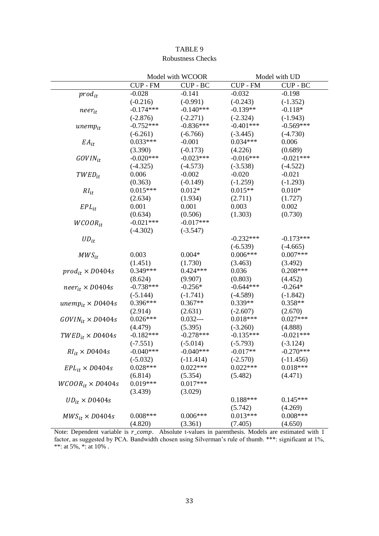|                             |                 | Model with WCOOR |                 | Model with UD |  |  |
|-----------------------------|-----------------|------------------|-----------------|---------------|--|--|
|                             | <b>CUP - FM</b> | CUP - BC         | <b>CUP - FM</b> | CUP - BC      |  |  |
| $prod_{it}$                 | $-0.028$        | $-0.141$         | $-0.032$        | $-0.198$      |  |  |
|                             | $(-0.216)$      | $(-0.991)$       | $(-0.243)$      | $(-1.352)$    |  |  |
| $near_{it}$                 | $-0.174***$     | $-0.140***$      | $-0.139**$      | $-0.118*$     |  |  |
|                             | $(-2.876)$      | $(-2.271)$       | $(-2.324)$      | $(-1.943)$    |  |  |
| $unemp_{it}$                | $-0.752***$     | $-0.836***$      | $-0.401***$     | $-0.569***$   |  |  |
|                             | $(-6.261)$      | $(-6.766)$       | $(-3.445)$      | $(-4.730)$    |  |  |
| $EA_{it}$                   | $0.033***$      | $-0.001$         | $0.034***$      | 0.006         |  |  |
|                             | (3.390)         | $(-0.173)$       | (4.226)         | (0.689)       |  |  |
| $GOVIN_{it}$                | $-0.020***$     | $-0.023***$      | $-0.016***$     | $-0.021***$   |  |  |
|                             | $(-4.325)$      | $(-4.573)$       | $(-3.538)$      | $(-4.522)$    |  |  |
| $TWED_{it}$                 | 0.006           | $-0.002$         | $-0.020$        | $-0.021$      |  |  |
|                             | (0.363)         | $(-0.149)$       | $(-1.259)$      | $(-1.293)$    |  |  |
| $RI_{it}$                   | $0.015***$      | $0.012*$         | $0.015**$       | $0.010*$      |  |  |
|                             | (2.634)         | (1.934)          | (2.711)         | (1.727)       |  |  |
| $EPL_{it}$                  | 0.001           | 0.001            | 0.003           | 0.002         |  |  |
|                             | (0.634)         | (0.506)          | (1.303)         | (0.730)       |  |  |
| $WCOOR_{it}$                | $-0.021***$     | $-0.017***$      |                 |               |  |  |
|                             | $(-4.302)$      | $(-3.547)$       |                 |               |  |  |
| $UD_{it}$                   |                 |                  | $-0.232***$     | $-0.173***$   |  |  |
|                             |                 |                  | $(-6.539)$      | $(-4.665)$    |  |  |
| $MWS_{it}$                  | 0.003           | $0.004*$         | $0.006***$      | $0.007***$    |  |  |
|                             | (1.451)         | (1.730)          | (3.463)         | (3.492)       |  |  |
| $prod_{it} \times D0404s$   | $0.349***$      | $0.424***$       | 0.036           | $0.208***$    |  |  |
|                             | (8.624)         | (9.907)          | (0.803)         | (4.452)       |  |  |
| $neer_{it} \times D0404s$   | $-0.738***$     | $-0.256*$        | $-0.644***$     | $-0.264*$     |  |  |
|                             | $(-5.144)$      | $(-1.741)$       | $(-4.589)$      | $(-1.842)$    |  |  |
| unem $p_{it} \times D0404s$ | $0.396***$      | $0.367**$        | $0.339**$       | $0.358**$     |  |  |
|                             | (2.914)         | (2.631)          | $(-2.607)$      | (2.670)       |  |  |
| $GOVIN_{it} \times D0404s$  | $0.026***$      | $0.032--$        | $0.018***$      | $0.027***$    |  |  |
|                             | (4.479)         | (5.395)          | $(-3.260)$      | (4.888)       |  |  |
| $TWED_{it} \times D0404s$   | $-0.182***$     | $-0.278***$      | $-0.135***$     | $-0.021***$   |  |  |
|                             | $(-7.551)$      | $(-5.014)$       | $(-5.793)$      | $(-3.124)$    |  |  |
| $RI_{it} \times D0404s$     | $-0.040***$     | $-0.040***$      | $-0.017**$      | $-0.270***$   |  |  |
|                             | $(-5.032)$      | $(-11.414)$      | $(-2.570)$      | $(-11.456)$   |  |  |
| $EPL_{it} \times D0404s$    | $0.028***$      | $0.022***$       | $0.022***$      | $0.018***$    |  |  |
|                             | (6.814)         | (5.354)          | (5.482)         | (4.471)       |  |  |
| $WCOOR_{it} \times D0404s$  | $0.019***$      | $0.017***$       |                 |               |  |  |
|                             | (3.439)         | (3.029)          |                 |               |  |  |
| $UD_{it} \times D0404s$     |                 |                  | $0.188***$      | $0.145***$    |  |  |
|                             |                 |                  | (5.742)         | (4.269)       |  |  |
| $MWS_{it} \times D0404s$    | $0.008***$      | $0.006***$       | $0.013***$      | $0.008***$    |  |  |
|                             | (4.820)         | (3.361)          | (7.405)         | (4.650)       |  |  |

# TABLE 9 Robustness Checks

Note: Dependent variable is  $r_{comp.}$  Absolute t-values in parenthesis. Models are estimated with 1 factor, as suggested by PCA. Bandwidth chosen using Silverman's rule of thumb. \*\*\*: significant at 1%, \*\*: at 5%, \*: at 10% .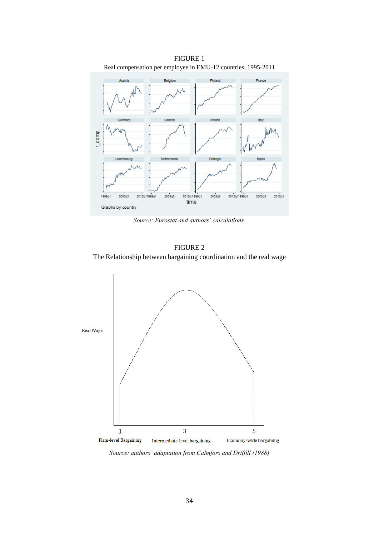

*Source: Eurostat and authors' calculations.*

FIGURE 2 The Relationship between bargaining coordination and the real wage



*Source: authors' adaptation from Calmfors and Driffill (1988)*